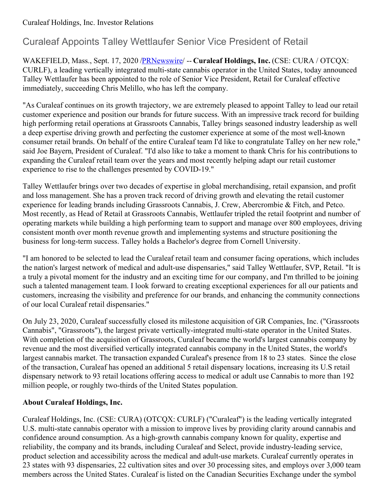#### Curaleaf Holdings, Inc. Investor Relations

# Curaleaf Appoints Talley Wettlaufer Senior Vice President of Retail

WAKEFIELD, Mass., Sept. 17, 2020 [/PRNewswire](http://www.prnewswire.com/)/ -- **Curaleaf Holdings, Inc.** (CSE: CURA / OTCQX: CURLF), a leading vertically integrated multi-state cannabis operator in the United States, today announced Talley Wettlaufer has been appointed to the role of Senior Vice President, Retail for Curaleaf effective immediately, succeeding Chris Melillo, who has left the company.

"As Curaleaf continues on its growth trajectory, we are extremely pleased to appoint Talley to lead our retail customer experience and position our brands for future success. With an impressive track record for building high performing retail operations at Grassroots Cannabis, Talley brings seasoned industry leadership as well a deep expertise driving growth and perfecting the customer experience at some of the most well-known consumer retail brands. On behalf of the entire Curaleaf team I'd like to congratulate Talley on her new role," said Joe Bayern, President of Curaleaf. "I'd also like to take a moment to thank Chris for his contributions to expanding the Curaleaf retail team over the years and most recently helping adapt our retail customer experience to rise to the challenges presented by COVID-19."

Talley Wettlaufer brings over two decades of expertise in global merchandising, retail expansion, and profit and loss management. She has a proven track record of driving growth and elevating the retail customer experience for leading brands including Grassroots Cannabis, J. Crew, Abercrombie & Fitch, and Petco. Most recently, as Head of Retail at Grassroots Cannabis, Wettlaufer tripled the retail footprint and number of operating markets while building a high performing team to support and manage over 800 employees, driving consistent month over month revenue growth and implementing systems and structure positioning the business for long-term success. Talley holds a Bachelor's degree from Cornell University.

"I am honored to be selected to lead the Curaleaf retail team and consumer facing operations, which includes the nation's largest network of medical and adult-use dispensaries," said Talley Wettlaufer, SVP, Retail. "It is a truly a pivotal moment for the industry and an exciting time for our company, and I'm thrilled to be joining such a talented management team. I look forward to creating exceptional experiences for all our patients and customers, increasing the visibility and preference for our brands, and enhancing the community connections of our local Curaleaf retail dispensaries."

On July 23, 2020, Curaleaf successfully closed its milestone acquisition of GR Companies, Inc. ("Grassroots Cannabis", "Grassroots"), the largest private vertically-integrated multi-state operator in the United States. With completion of the acquisition of Grassroots, Curaleaf became the world's largest cannabis company by revenue and the most diversified vertically integrated cannabis company in the United States, the world's largest cannabis market. The transaction expanded Curaleaf's presence from 18 to 23 states. Since the close of the transaction, Curaleaf has opened an additional 5 retail dispensary locations, increasing its U.S retail dispensary network to 93 retail locations offering access to medical or adult use Cannabis to more than 192 million people, or roughly two-thirds of the United States population.

## **About Curaleaf Holdings, Inc.**

Curaleaf Holdings, Inc. (CSE: CURA) (OTCQX: CURLF) ("Curaleaf") is the leading vertically integrated U.S. multi-state cannabis operator with a mission to improve lives by providing clarity around cannabis and confidence around consumption. As a high-growth cannabis company known for quality, expertise and reliability, the company and its brands, including Curaleaf and Select, provide industry-leading service, product selection and accessibility across the medical and adult-use markets. Curaleaf currently operates in 23 states with 93 dispensaries, 22 cultivation sites and over 30 processing sites, and employs over 3,000 team members across the United States. Curaleaf is listed on the Canadian Securities Exchange under the symbol